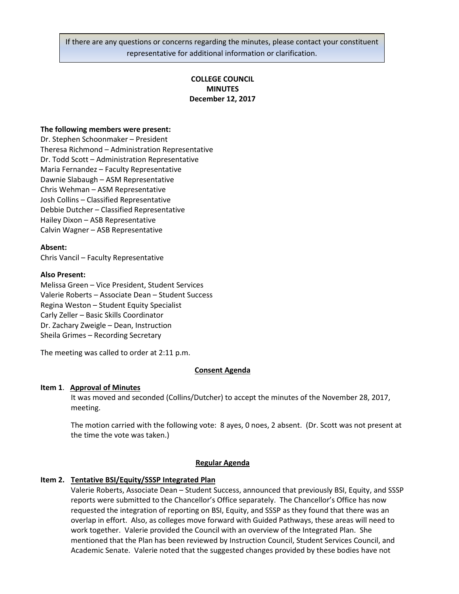If there are any questions or concerns regarding the minutes, please contact your constituent representative for additional information or clarification.

# **COLLEGE COUNCIL MINUTES December 12, 2017**

## **The following members were present:**

Dr. Stephen Schoonmaker – President Theresa Richmond – Administration Representative Dr. Todd Scott – Administration Representative Maria Fernandez – Faculty Representative Dawnie Slabaugh – ASM Representative Chris Wehman – ASM Representative Josh Collins – Classified Representative Debbie Dutcher – Classified Representative Hailey Dixon – ASB Representative Calvin Wagner – ASB Representative

## **Absent:**

Chris Vancil – Faculty Representative

#### **Also Present:**

Melissa Green – Vice President, Student Services Valerie Roberts – Associate Dean – Student Success Regina Weston – Student Equity Specialist Carly Zeller – Basic Skills Coordinator Dr. Zachary Zweigle – Dean, Instruction Sheila Grimes – Recording Secretary

The meeting was called to order at 2:11 p.m.

## **Consent Agenda**

#### **Item 1**. **Approval of Minutes**

It was moved and seconded (Collins/Dutcher) to accept the minutes of the November 28, 2017, meeting.

The motion carried with the following vote: 8 ayes, 0 noes, 2 absent. (Dr. Scott was not present at the time the vote was taken.)

#### **Regular Agenda**

#### **Item 2. Tentative BSI/Equity/SSSP Integrated Plan**

Valerie Roberts, Associate Dean – Student Success, announced that previously BSI, Equity, and SSSP reports were submitted to the Chancellor's Office separately. The Chancellor's Office has now requested the integration of reporting on BSI, Equity, and SSSP as they found that there was an overlap in effort. Also, as colleges move forward with Guided Pathways, these areas will need to work together. Valerie provided the Council with an overview of the Integrated Plan. She mentioned that the Plan has been reviewed by Instruction Council, Student Services Council, and Academic Senate. Valerie noted that the suggested changes provided by these bodies have not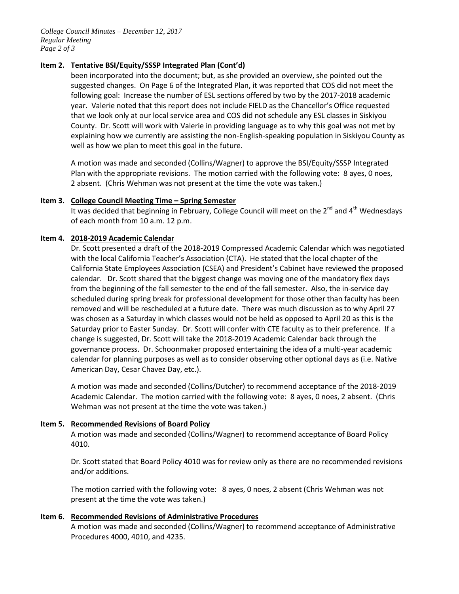*College Council Minutes – December 12, 2017 Regular Meeting Page 2 of 3*

## **Item 2. Tentative BSI/Equity/SSSP Integrated Plan (Cont'd)**

been incorporated into the document; but, as she provided an overview, she pointed out the suggested changes. On Page 6 of the Integrated Plan, it was reported that COS did not meet the following goal: Increase the number of ESL sections offered by two by the 2017-2018 academic year. Valerie noted that this report does not include FIELD as the Chancellor's Office requested that we look only at our local service area and COS did not schedule any ESL classes in Siskiyou County. Dr. Scott will work with Valerie in providing language as to why this goal was not met by explaining how we currently are assisting the non-English-speaking population in Siskiyou County as well as how we plan to meet this goal in the future.

A motion was made and seconded (Collins/Wagner) to approve the BSI/Equity/SSSP Integrated Plan with the appropriate revisions. The motion carried with the following vote: 8 ayes, 0 noes, 2 absent. (Chris Wehman was not present at the time the vote was taken.)

## **Item 3. College Council Meeting Time – Spring Semester**

It was decided that beginning in February, College Council will meet on the  $2^{nd}$  and  $4^{th}$  Wednesdays of each month from 10 a.m. 12 p.m.

## **Item 4. 2018-2019 Academic Calendar**

Dr. Scott presented a draft of the 2018-2019 Compressed Academic Calendar which was negotiated with the local California Teacher's Association (CTA). He stated that the local chapter of the California State Employees Association (CSEA) and President's Cabinet have reviewed the proposed calendar. Dr. Scott shared that the biggest change was moving one of the mandatory flex days from the beginning of the fall semester to the end of the fall semester. Also, the in-service day scheduled during spring break for professional development for those other than faculty has been removed and will be rescheduled at a future date. There was much discussion as to why April 27 was chosen as a Saturday in which classes would not be held as opposed to April 20 as this is the Saturday prior to Easter Sunday. Dr. Scott will confer with CTE faculty as to their preference. If a change is suggested, Dr. Scott will take the 2018-2019 Academic Calendar back through the governance process. Dr. Schoonmaker proposed entertaining the idea of a multi-year academic calendar for planning purposes as well as to consider observing other optional days as (i.e. Native American Day, Cesar Chavez Day, etc.).

A motion was made and seconded (Collins/Dutcher) to recommend acceptance of the 2018-2019 Academic Calendar. The motion carried with the following vote: 8 ayes, 0 noes, 2 absent. (Chris Wehman was not present at the time the vote was taken.)

#### **Item 5. Recommended Revisions of Board Policy**

A motion was made and seconded (Collins/Wagner) to recommend acceptance of Board Policy 4010.

Dr. Scott stated that Board Policy 4010 was for review only as there are no recommended revisions and/or additions.

The motion carried with the following vote: 8 ayes, 0 noes, 2 absent (Chris Wehman was not present at the time the vote was taken.)

## **Item 6. Recommended Revisions of Administrative Procedures**

A motion was made and seconded (Collins/Wagner) to recommend acceptance of Administrative Procedures 4000, 4010, and 4235.